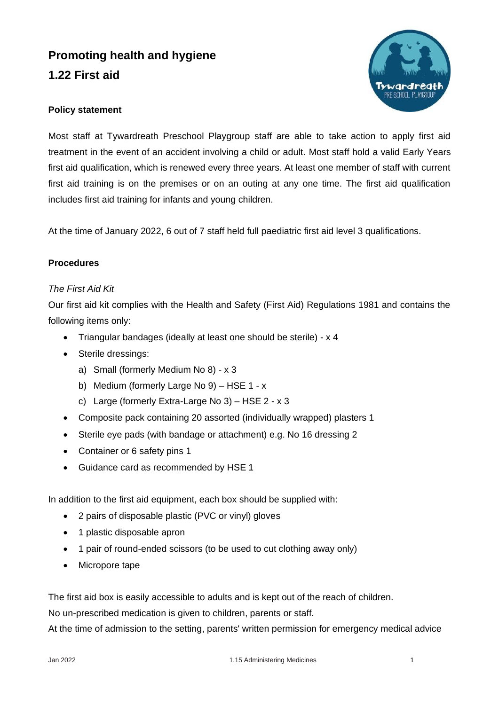## **Promoting health and hygiene 1.22 First aid**



## **Policy statement**

Most staff at Tywardreath Preschool Playgroup staff are able to take action to apply first aid treatment in the event of an accident involving a child or adult. Most staff hold a valid Early Years first aid qualification, which is renewed every three years. At least one member of staff with current first aid training is on the premises or on an outing at any one time. The first aid qualification includes first aid training for infants and young children.

At the time of January 2022, 6 out of 7 staff held full paediatric first aid level 3 qualifications.

## **Procedures**

## *The First Aid Kit*

Our first aid kit complies with the Health and Safety (First Aid) Regulations 1981 and contains the following items only:

- Triangular bandages (ideally at least one should be sterile) x 4
- Sterile dressings:
	- a) Small (formerly Medium No 8) x 3
	- b) Medium (formerly Large No 9) HSE 1 x
	- c) Large (formerly Extra-Large No 3) HSE 2 x 3
- Composite pack containing 20 assorted (individually wrapped) plasters 1
- Sterile eye pads (with bandage or attachment) e.g. No 16 dressing 2
- Container or 6 safety pins 1
- Guidance card as recommended by HSE 1

In addition to the first aid equipment, each box should be supplied with:

- 2 pairs of disposable plastic (PVC or vinyl) gloves
- 1 plastic disposable apron
- 1 pair of round-ended scissors (to be used to cut clothing away only)
- Micropore tape

The first aid box is easily accessible to adults and is kept out of the reach of children.

No un-prescribed medication is given to children, parents or staff.

At the time of admission to the setting, parents' written permission for emergency medical advice